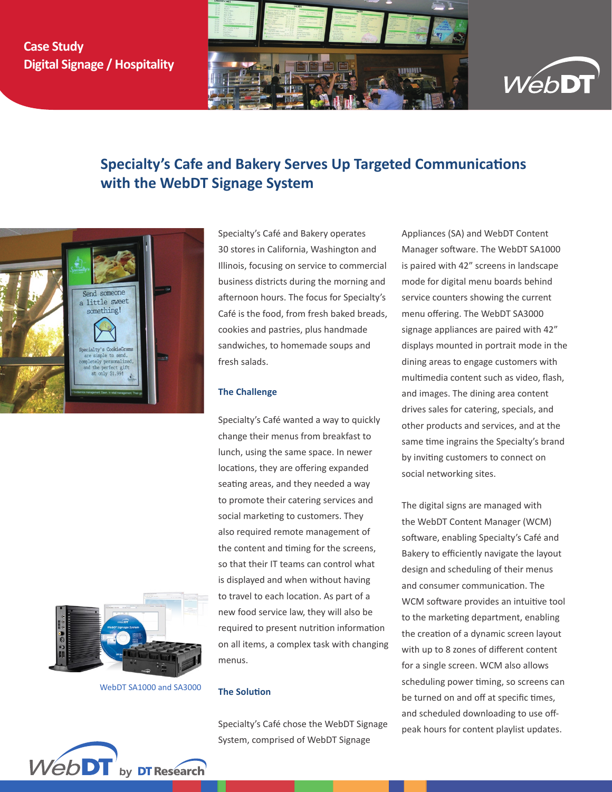# **Case Study Digital Signage / Hospitality**





# **Specialty's Cafe and Bakery Serves Up Targeted Communications with the WebDT Signage System**



WebDT SA1000 and SA3000

Specialty's Café and Bakery operates 30 stores in California, Washington and Illinois, focusing on service to commercial business districts during the morning and afternoon hours. The focus for Specialty's Café is the food, from fresh baked breads, cookies and pastries, plus handmade sandwiches, to homemade soups and fresh salads.

## **The Challenge**

Specialty's Café wanted a way to quickly change their menus from breakfast to lunch, using the same space. In newer locations, they are offering expanded seating areas, and they needed a way to promote their catering services and social marketing to customers. They also required remote management of the content and timing for the screens, so that their IT teams can control what is displayed and when without having to travel to each location. As part of a new food service law, they will also be required to present nutrition information on all items, a complex task with changing menus.

#### **The Solution**

Specialty's Café chose the WebDT Signage System, comprised of WebDT Signage

Appliances (SA) and WebDT Content Manager software. The WebDT SA1000 is paired with 42" screens in landscape mode for digital menu boards behind service counters showing the current menu offering. The WebDT SA3000 signage appliances are paired with 42" displays mounted in portrait mode in the dining areas to engage customers with multimedia content such as video, flash, and images. The dining area content drives sales for catering, specials, and other products and services, and at the same time ingrains the Specialty's brand by inviting customers to connect on social networking sites.

The digital signs are managed with the WebDT Content Manager (WCM) software, enabling Specialty's Café and Bakery to efficiently navigate the layout design and scheduling of their menus and consumer communication. The WCM software provides an intuitive tool to the marketing department, enabling the creation of a dynamic screen layout with up to 8 zones of different content for a single screen. WCM also allows scheduling power timing, so screens can be turned on and off at specific times, and scheduled downloading to use offpeak hours for content playlist updates.